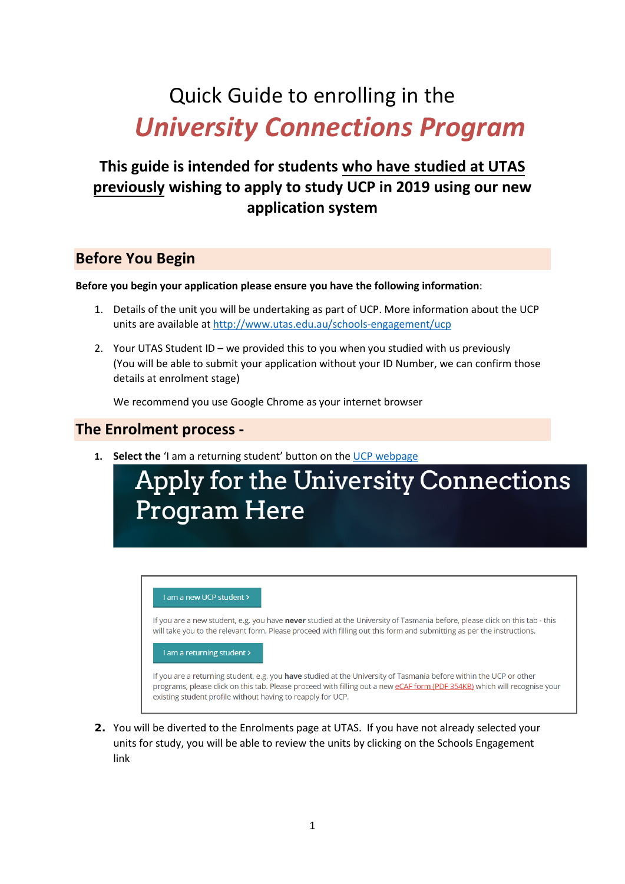# Quick Guide to enrolling in the *University Connections Program*

## **This guide is intended for students who have studied at UTAS previously wishing to apply to study UCP in 2019 using our new application system**

#### **Before You Begin**

#### **Before you begin your application please ensure you have the following information**:

- 1. Details of the unit you will be undertaking as part of UCP. More information about the UCP units are available at<http://www.utas.edu.au/schools-engagement/ucp>
- 2. Your UTAS Student ID we provided this to you when you studied with us previously (You will be able to submit your application without your ID Number, we can confirm those details at enrolment stage)

We recommend you use Google Chrome as your internet browser

#### **The Enrolment process -**

**1. Select the** 'I am a returning student' button on th[e UCP webpage](http://www.utas.edu.au/schools-engagement/ucp/apply)

# Apply for the University Connections **Program Here**



**2.** You will be diverted to the Enrolments page at UTAS. If you have not already selected your units for study, you will be able to review the units by clicking on the Schools Engagement link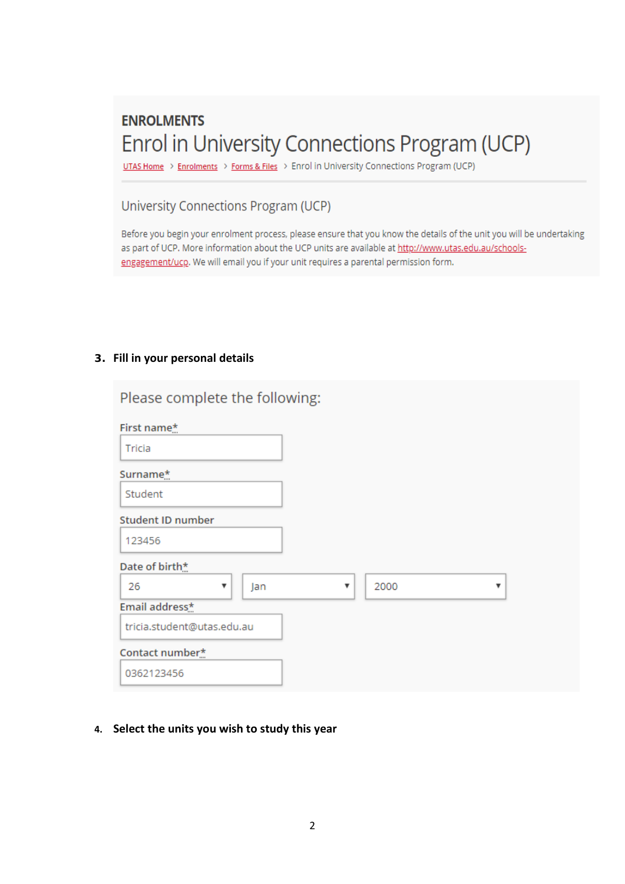# **ENROLMENTS** Enrol in University Connections Program (UCP)

UTAS Home > Enrolments > Forms & Files > Enrol in University Connections Program (UCP)

#### University Connections Program (UCP)

Before you begin your enrolment process, please ensure that you know the details of the unit you will be undertaking as part of UCP. More information about the UCP units are available at http://www.utas.edu.au/schoolsengagement/ucp. We will email you if your unit requires a parental permission form.

#### **3. Fill in your personal details**

| Please complete the following: |           |
|--------------------------------|-----------|
| First name*                    |           |
| Tricia                         |           |
| Surname*                       |           |
| Student                        |           |
| <b>Student ID number</b>       |           |
| 123456                         |           |
| Date of birth*                 |           |
| 26<br>Jan<br>▼<br>v            | 2000<br>▼ |
| Email address*                 |           |
| tricia.student@utas.edu.au     |           |
| Contact number*                |           |
| 0362123456                     |           |

**4. Select the units you wish to study this year**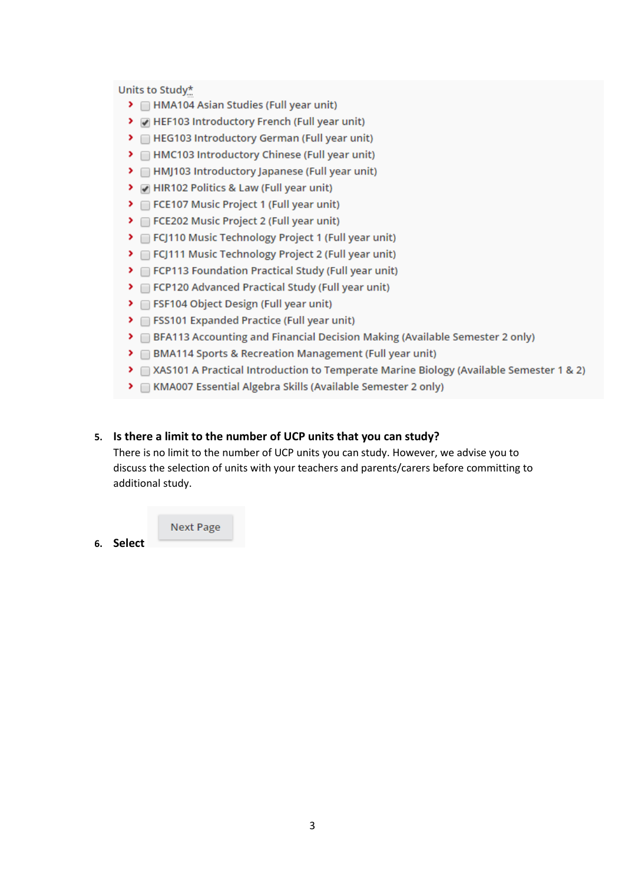Units to Study\*

- > HMA104 Asian Studies (Full year unit)
- > MHEF103 Introductory French (Full year unit)
- > El HEG103 Introductory German (Full year unit)
- > HMC103 Introductory Chinese (Full year unit)
- > HMJ103 Introductory Japanese (Full year unit)
- > MHIR102 Politics & Law (Full year unit)
- > FCE107 Music Project 1 (Full year unit)
- > FCE202 Music Project 2 (Full year unit)
- > FCJ110 Music Technology Project 1 (Full year unit)
- > FCJ111 Music Technology Project 2 (Full year unit)
- > FCP113 Foundation Practical Study (Full year unit)
- > FCP120 Advanced Practical Study (Full year unit)
- > FSF104 Object Design (Full year unit)
- > FSS101 Expanded Practice (Full year unit)
- > BFA113 Accounting and Financial Decision Making (Available Semester 2 only)
- > BMA114 Sports & Recreation Management (Full year unit)
- ▶ △ XAS101 A Practical Introduction to Temperate Marine Biology (Available Semester 1 & 2)
- > MMA007 Essential Algebra Skills (Available Semester 2 only)

#### 5. Is there a limit to the number of UCP units that you can study?

There is no limit to the number of UCP units you can study. However, we advise you to discuss the selection of units with your teachers and parents/carers before committing to additional study.

**Next Page** 

6. Select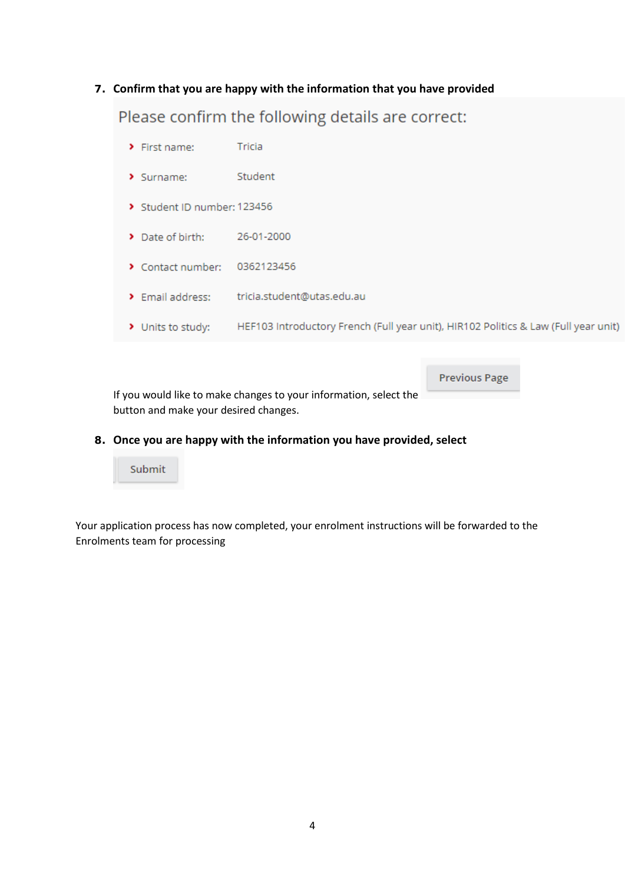**7. Confirm that you are happy with the information that you have provided**

Please confirm the following details are correct:

- $\blacktriangleright$  First name: Tricia
- > Surname: Student
- > Student ID number: 123456
- Date of birth: 26-01-2000
- > Contact number: 0362123456
- > Email address: tricia.student@utas.edu.au
- > Units to study: HEF103 Introductory French (Full year unit), HIR102 Politics & Law (Full year unit)

**Previous Page** 

If you would like to make changes to your information, select the button and make your desired changes.

**8. Once you are happy with the information you have provided, select**



Your application process has now completed, your enrolment instructions will be forwarded to the Enrolments team for processing